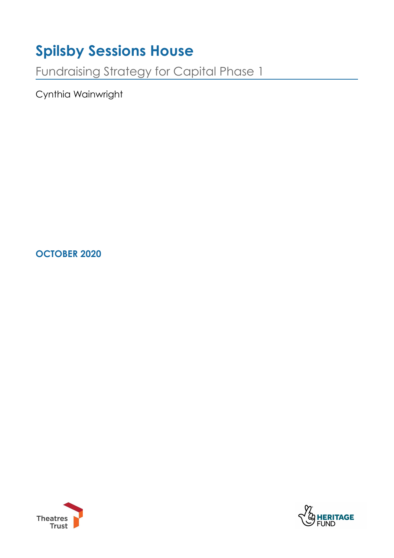# **Spilsby Sessions House**

Fundraising Strategy for Capital Phase 1

Cynthia Wainwright

**OCTOBER 2020** 



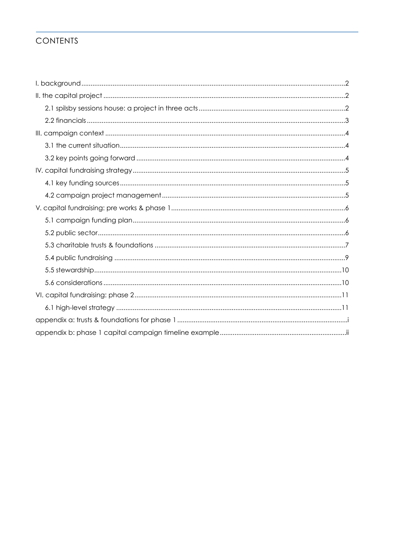# **CONTENTS**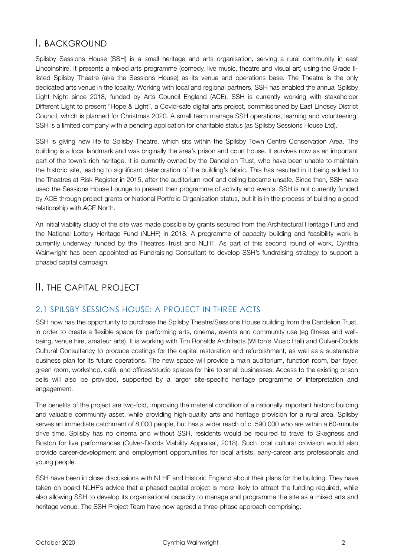# <span id="page-2-0"></span>I. BACKGROUND

Spilsby Sessions House (SSH) is a small heritage and arts organisation, serving a rural community in east Lincolnshire. It presents a mixed arts programme (comedy, live music, theatre and visual art) using the Grade IIlisted Spilsby Theatre (aka the Sessions House) as its venue and operations base. The Theatre is the only dedicated arts venue in the locality. Working with local and regional partners, SSH has enabled the annual Spilsby Light Night since 2018, funded by Arts Council England (ACE). SSH is currently working with stakeholder Different Light to present "Hope & Light", a Covid-safe digital arts project, commissioned by East Lindsey District Council, which is planned for Christmas 2020. A small team manage SSH operations, learning and volunteering. SSH is a limited company with a pending application for charitable status (as Spilsby Sessions House Ltd).

SSH is giving new life to Spilsby Theatre, which sits within the Spilsby Town Centre Conservation Area. The building is a local landmark and was originally the area's prison and court house. It survives now as an important part of the town's rich heritage. It is currently owned by the Dandelion Trust, who have been unable to maintain the historic site, leading to significant deterioration of the building's fabric. This has resulted in it being added to the Theatres at Risk Register in 2015, after the auditorium roof and ceiling became unsafe. Since then, SSH have used the Sessions House Lounge to present their programme of activity and events. SSH is not currently funded by ACE through project grants or National Portfolio Organisation status, but it is in the process of building a good relationship with ACE North.

An initial viability study of the site was made possible by grants secured from the Architectural Heritage Fund and the National Lottery Heritage Fund (NLHF) in 2018. A programme of capacity building and feasibility work is currently underway, funded by the Theatres Trust and NLHF. As part of this second round of work, Cynthia Wainwright has been appointed as Fundraising Consultant to develop SSH's fundraising strategy to support a phased capital campaign.

# <span id="page-2-1"></span>II. THE CAPITAL PROJECT

### <span id="page-2-2"></span>2.1 SPILSBY SESSIONS HOUSE: A PROJECT IN THREE ACTS

SSH now has the opportunity to purchase the Spilsby Theatre/Sessions House building from the Dandelion Trust, in order to create a flexible space for performing arts, cinema, events and community use (eg fitness and wellbeing, venue hire, amateur arts). It is working with Tim Ronalds Architects (Wilton's Music Hall) and Culver-Dodds Cultural Consultancy to produce costings for the capital restoration and refurbishment, as well as a sustainable business plan for its future operations. The new space will provide a main auditorium, function room, bar foyer, green room, workshop, café, and offices/studio spaces for hire to small businesses. Access to the existing prison cells will also be provided, supported by a larger site-specific heritage programme of interpretation and engagement.

The benefits of the project are two-fold, improving the material condition of a nationally important historic building and valuable community asset, while providing high-quality arts and heritage provision for a rural area. Spilsby serves an immediate catchment of 8,000 people, but has a wider reach of c. 590,000 who are within a 60-minute drive time. Spilsby has no cinema and without SSH, residents would be required to travel to Skegness and Boston for live performances (Culver-Dodds Viability Appraisal, 2018). Such local cultural provision would also provide career-development and employment opportunities for local artists, early-career arts professionals and young people.

SSH have been in close discussions with NLHF and Historic England about their plans for the building. They have taken on board NLHF's advice that a phased capital project is more likely to attract the funding required, while also allowing SSH to develop its organisational capacity to manage and programme the site as a mixed arts and heritage venue. The SSH Project Team have now agreed a three-phase approach comprising: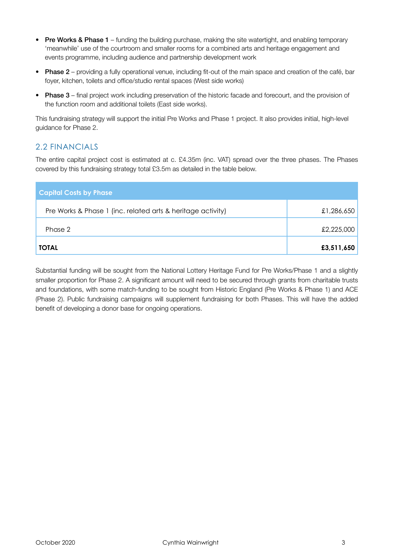- Pre Works & Phase 1 funding the building purchase, making the site watertight, and enabling temporary 'meanwhile' use of the courtroom and smaller rooms for a combined arts and heritage engagement and events programme, including audience and partnership development work
- Phase 2 providing a fully operational venue, including fit-out of the main space and creation of the café, bar foyer, kitchen, toilets and office/studio rental spaces (West side works)
- Phase 3 final project work including preservation of the historic facade and forecourt, and the provision of the function room and additional toilets (East side works).

This fundraising strategy will support the initial Pre Works and Phase 1 project. It also provides initial, high-level guidance for Phase 2.

# <span id="page-3-0"></span>2.2 FINANCIALS

The entire capital project cost is estimated at c. £4.35m (inc. VAT) spread over the three phases. The Phases covered by this fundraising strategy total £3.5m as detailed in the table below.

| <b>Capital Costs by Phase</b>                               |            |
|-------------------------------------------------------------|------------|
| Pre Works & Phase 1 (inc. related arts & heritage activity) | £1,286,650 |
| Phase 2                                                     | £2,225,000 |
| <b>TOTAL</b>                                                | £3,511,650 |

Substantial funding will be sought from the National Lottery Heritage Fund for Pre Works/Phase 1 and a slightly smaller proportion for Phase 2. A significant amount will need to be secured through grants from charitable trusts and foundations, with some match-funding to be sought from Historic England (Pre Works & Phase 1) and ACE (Phase 2). Public fundraising campaigns will supplement fundraising for both Phases. This will have the added benefit of developing a donor base for ongoing operations.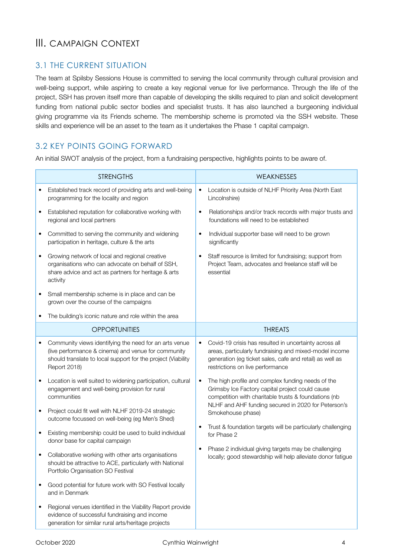# <span id="page-4-0"></span>III. CAMPAIGN CONTEXT

# <span id="page-4-1"></span>3.1 THE CURRENT SITUATION

The team at Spilsby Sessions House is committed to serving the local community through cultural provision and well-being support, while aspiring to create a key regional venue for live performance. Through the life of the project, SSH has proven itself more than capable of developing the skills required to plan and solicit development funding from national public sector bodies and specialist trusts. It has also launched a burgeoning individual giving programme via its Friends scheme. The membership scheme is promoted via the SSH website. These skills and experience will be an asset to the team as it undertakes the Phase 1 capital campaign.

# <span id="page-4-2"></span>3.2 KEY POINTS GOING FORWARD

An initial SWOT analysis of the project, from a fundraising perspective, highlights points to be aware of.

|   | <b>STRENGTHS</b>                                                                                                                                                                              |           | WEAKNESSES                                                                                                                                                                                                          |
|---|-----------------------------------------------------------------------------------------------------------------------------------------------------------------------------------------------|-----------|---------------------------------------------------------------------------------------------------------------------------------------------------------------------------------------------------------------------|
|   | Established track record of providing arts and well-being<br>programming for the locality and region                                                                                          | $\bullet$ | Location is outside of NLHF Priority Area (North East<br>Lincolnshire)                                                                                                                                              |
| ٠ | Established reputation for collaborative working with<br>regional and local partners                                                                                                          | $\bullet$ | Relationships and/or track records with major trusts and<br>foundations will need to be established                                                                                                                 |
| ٠ | Committed to serving the community and widening<br>participation in heritage, culture & the arts                                                                                              | $\bullet$ | Individual supporter base will need to be grown<br>significantly                                                                                                                                                    |
| ٠ | Growing network of local and regional creative<br>organisations who can advocate on behalf of SSH,<br>share advice and act as partners for heritage & arts<br>activity                        | ٠         | Staff resource is limited for fundraising; support from<br>Project Team, advocates and freelance staff will be<br>essential                                                                                         |
| ٠ | Small membership scheme is in place and can be<br>grown over the course of the campaigns                                                                                                      |           |                                                                                                                                                                                                                     |
|   | The building's iconic nature and role within the area                                                                                                                                         |           |                                                                                                                                                                                                                     |
|   | <b>OPPORTUNITIES</b>                                                                                                                                                                          |           | <b>THREATS</b>                                                                                                                                                                                                      |
|   | Community views identifying the need for an arts venue<br>(live performance & cinema) and venue for community<br>should translate to local support for the project (Viability<br>Report 2018) | $\bullet$ | Covid-19 crisis has resulted in uncertainty across all<br>areas, particularly fundraising and mixed-model income<br>generation (eg ticket sales, cafe and retail) as well as<br>restrictions on live performance    |
|   | Location is well suited to widening participation, cultural<br>engagement and well-being provision for rural<br>communities<br>Project could fit well with NLHF 2019-24 strategic             | $\bullet$ | The high profile and complex funding needs of the<br>Grimsby Ice Factory capital project could cause<br>competition with charitable trusts & foundations (nb<br>NLHF and AHF funding secured in 2020 for Peterson's |
|   | outcome focussed on well-being (eg Men's Shed)                                                                                                                                                |           | Smokehouse phase)                                                                                                                                                                                                   |
| ٠ | Existing membership could be used to build individual<br>donor base for capital campaign                                                                                                      | ٠         | Trust & foundation targets will be particularly challenging<br>for Phase 2                                                                                                                                          |
|   | Collaborative working with other arts organisations<br>should be attractive to ACE, particularly with National<br>Portfolio Organisation SO Festival                                          | $\bullet$ | Phase 2 individual giving targets may be challenging<br>locally; good stewardship will help alleviate donor fatigue                                                                                                 |
|   | Good potential for future work with SO Festival locally<br>and in Denmark                                                                                                                     |           |                                                                                                                                                                                                                     |
|   | Regional venues identified in the Viability Report provide<br>evidence of successful fundraising and income<br>generation for similar rural arts/heritage projects                            |           |                                                                                                                                                                                                                     |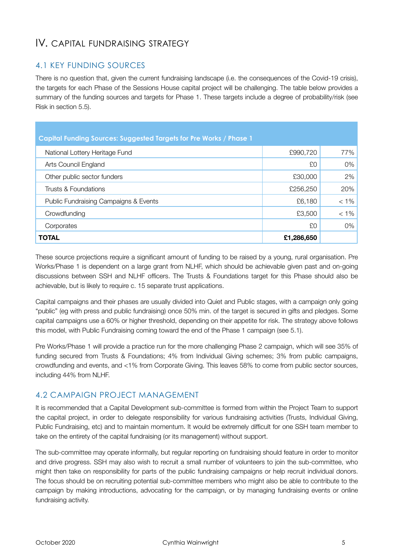# <span id="page-5-0"></span>IV. CAPITAL FUNDRAISING STRATEGY

# <span id="page-5-1"></span>4.1 KEY FUNDING SOURCES

There is no question that, given the current fundraising landscape (i.e. the consequences of the Covid-19 crisis), the targets for each Phase of the Sessions House capital project will be challenging. The table below provides a summary of the funding sources and targets for Phase 1. These targets include a degree of probability/risk (see Risk in section 5.5).

| Capital Funding Sources: Suggested Targets for Pre Works / Phase 1 |            |         |  |  |
|--------------------------------------------------------------------|------------|---------|--|--|
| National Lottery Heritage Fund                                     | £990,720   | 77%     |  |  |
| Arts Council England                                               | £0         | 0%      |  |  |
| Other public sector funders                                        | £30,000    | 2%      |  |  |
| Trusts & Foundations                                               | £256,250   | 20%     |  |  |
| Public Fundraising Campaigns & Events                              | £6,180     | $< 1\%$ |  |  |
| Crowdfunding                                                       | £3,500     | $< 1\%$ |  |  |
| Corporates                                                         | £O         | 0%      |  |  |
| <b>TOTAL</b>                                                       | £1,286,650 |         |  |  |

These source projections require a significant amount of funding to be raised by a young, rural organisation. Pre Works/Phase 1 is dependent on a large grant from NLHF, which should be achievable given past and on-going discussions between SSH and NLHF officers. The Trusts & Foundations target for this Phase should also be achievable, but is likely to require c. 15 separate trust applications.

Capital campaigns and their phases are usually divided into Quiet and Public stages, with a campaign only going "public" (eg with press and public fundraising) once 50% min. of the target is secured in gifts and pledges. Some capital campaigns use a 60% or higher threshold, depending on their appetite for risk. The strategy above follows this model, with Public Fundraising coming toward the end of the Phase 1 campaign (see 5.1).

Pre Works/Phase 1 will provide a practice run for the more challenging Phase 2 campaign, which will see 35% of funding secured from Trusts & Foundations; 4% from Individual Giving schemes; 3% from public campaigns, crowdfunding and events, and <1% from Corporate Giving. This leaves 58% to come from public sector sources, including 44% from NLHF.

# <span id="page-5-2"></span>4.2 CAMPAIGN PROJECT MANAGEMENT

It is recommended that a Capital Development sub-committee is formed from within the Project Team to support the capital project, in order to delegate responsibility for various fundraising activities (Trusts, Individual Giving, Public Fundraising, etc) and to maintain momentum. It would be extremely difficult for one SSH team member to take on the entirety of the capital fundraising (or its management) without support.

The sub-committee may operate informally, but regular reporting on fundraising should feature in order to monitor and drive progress. SSH may also wish to recruit a small number of volunteers to join the sub-committee, who might then take on responsibility for parts of the public fundraising campaigns or help recruit individual donors. The focus should be on recruiting potential sub-committee members who might also be able to contribute to the campaign by making introductions, advocating for the campaign, or by managing fundraising events or online fundraising activity.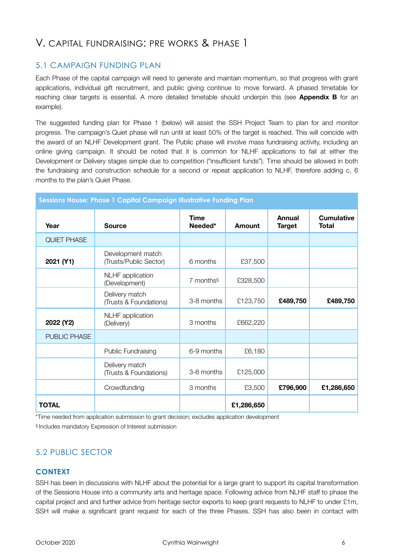# <span id="page-6-0"></span>V. CAPITAL FUNDRAISING: PRE WORKS & PHASE 1

## <span id="page-6-1"></span>5.1 CAMPAIGN FUNDING PLAN

Each Phase of the capital campaign will need to generate and maintain momentum, so that progress with grant applications, individual gift recruitment, and public giving continue to move forward. A phased timetable for reaching clear targets is essential. A more detailed timetable should underpin this (see **Appendix B** for an example).

The suggested funding plan for Phase 1 (below) will assist the SSH Project Team to plan for and monitor progress. The campaign's Quiet phase will run until at least 50% of the target is reached. This will coincide with the award of an NLHF Development grant. The Public phase will involve mass fundraising activity, including an online giving campaign. It should be noted that it is common for NLHF applications to fail at either the Development or Delivery stages simple due to competition ("insufficient funds"). Time should be allowed in both the fundraising and construction schedule for a second or repeat application to NLHF, therefore adding c. 6 months to the plan's Quiet Phase.

| <b>Sessions House: Phase 1 Capital Campaign Illustrative Funding Plan</b> |                                             |                          |            |                                |                                   |
|---------------------------------------------------------------------------|---------------------------------------------|--------------------------|------------|--------------------------------|-----------------------------------|
| Year                                                                      | <b>Source</b>                               | <b>Time</b><br>Needed*   | Amount     | <b>Annual</b><br><b>Target</b> | <b>Cumulative</b><br><b>Total</b> |
| QUIET PHASE                                                               |                                             |                          |            |                                |                                   |
| 2021 (Y1)                                                                 | Development match<br>(Trusts/Public Sector) | 6 months                 | £37,500    |                                |                                   |
|                                                                           | <b>NLHF</b> application<br>(Development)    | $7$ months $\frac{6}{3}$ | £328,500   |                                |                                   |
|                                                                           | Delivery match<br>(Trusts & Foundations)    | 3-8 months               | £123,750   | £489,750                       | £489,750                          |
| 2022 (Y2)                                                                 | <b>NLHF</b> application<br>(Delivery)       | 3 months                 | £662,220   |                                |                                   |
| PUBLIC PHASE                                                              |                                             |                          |            |                                |                                   |
|                                                                           | Public Fundraising                          | 6-9 months               | £6,180     |                                |                                   |
|                                                                           | Delivery match<br>(Trusts & Foundations)    | 3-6 months               | £125,000   |                                |                                   |
|                                                                           | Crowdfunding                                | 3 months                 | £3,500     | £796,900                       | £1,286,650                        |
| <b>TOTAL</b>                                                              |                                             |                          | £1,286,650 |                                |                                   |

\*Time needed from application submission to grant decision; excludes application development § Includes mandatory Expression of Interest submission

# <span id="page-6-2"></span>5.2 PUBLIC SECTOR

#### **CONTEXT**

SSH has been in discussions with NLHF about the potential for a large grant to support its capital transformation of the Sessions House into a community arts and heritage space. Following advice from NLHF staff to phase the capital project and and further advice from heritage sector exports to keep grant requests to NLHF to under £1m, SSH will make a significant grant request for each of the three Phases. SSH has also been in contact with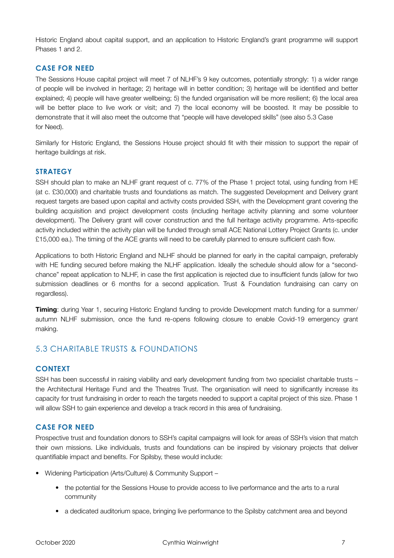Historic England about capital support, and an application to Historic England's grant programme will support Phases 1 and 2.

#### **CASE FOR NEED**

The Sessions House capital project will meet 7 of NLHF's 9 key outcomes, potentially strongly: 1) a wider range of people will be involved in heritage; 2) heritage will in better condition; 3) heritage will be identified and better explained; 4) people will have greater wellbeing; 5) the funded organisation will be more resilient; 6) the local area will be better place to live work or visit; and 7) the local economy will be boosted. It may be possible to demonstrate that it will also meet the outcome that "people will have developed skills" (see also 5.3 Case for Need).

Similarly for Historic England, the Sessions House project should fit with their mission to support the repair of heritage buildings at risk.

#### **STRATEGY**

SSH should plan to make an NLHF grant request of c. 77% of the Phase 1 project total, using funding from HE (at c. £30,000) and charitable trusts and foundations as match. The suggested Development and Delivery grant request targets are based upon capital and activity costs provided SSH, with the Development grant covering the building acquisition and project development costs (including heritage activity planning and some volunteer development). The Delivery grant will cover construction and the full heritage activity programme. Arts-specific activity included within the activity plan will be funded through small ACE National Lottery Project Grants (c. under £15,000 ea.). The timing of the ACE grants will need to be carefully planned to ensure sufficient cash flow.

Applications to both Historic England and NLHF should be planned for early in the capital campaign, preferably with HE funding secured before making the NLHF application. Ideally the schedule should allow for a "secondchance" repeat application to NLHF, in case the first application is rejected due to insufficient funds (allow for two submission deadlines or 6 months for a second application. Trust & Foundation fundraising can carry on regardless).

**Timing**: during Year 1, securing Historic England funding to provide Development match funding for a summer/ autumn NLHF submission, once the fund re-opens following closure to enable Covid-19 emergency grant making.

#### <span id="page-7-0"></span>5.3 CHARITABLE TRUSTS & FOUNDATIONS

#### **CONTEXT**

SSH has been successful in raising viability and early development funding from two specialist charitable trusts – the Architectural Heritage Fund and the Theatres Trust. The organisation will need to significantly increase its capacity for trust fundraising in order to reach the targets needed to support a capital project of this size. Phase 1 will allow SSH to gain experience and develop a track record in this area of fundraising.

#### **CASE FOR NEED**

Prospective trust and foundation donors to SSH's capital campaigns will look for areas of SSH's vision that match their own missions. Like individuals, trusts and foundations can be inspired by visionary projects that deliver quantifiable impact and benefits. For Spilsby, these would include:

- Widening Participation (Arts/Culture) & Community Support
	- the potential for the Sessions House to provide access to live performance and the arts to a rural community
	- a dedicated auditorium space, bringing live performance to the Spilsby catchment area and beyond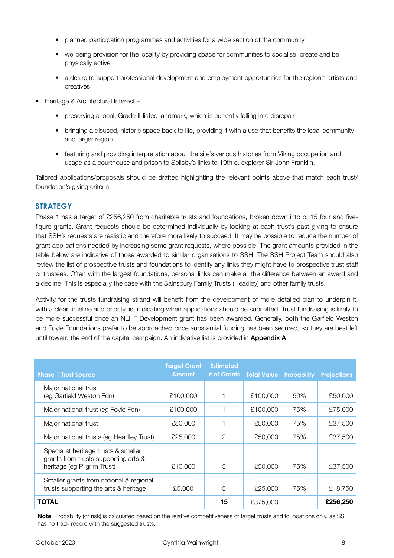- planned participation programmes and activities for a wide section of the community
- wellbeing provision for the locality by providing space for communities to socialise, create and be physically active
- a desire to support professional development and employment opportunities for the region's artists and creatives.
- Heritage & Architectural Interest
	- preserving a local, Grade II-listed landmark, which is currently falling into disrepair
	- bringing a disused, historic space back to life, providing it with a use that benefits the local community and larger region
	- featuring and providing interpretation about the site's various histories from Viking occupation and usage as a courthouse and prison to Spilsby's links to 19th c. explorer Sir John Franklin.

Tailored applications/proposals should be drafted highlighting the relevant points above that match each trust/ foundation's giving criteria.

#### **STRATEGY**

Phase 1 has a target of £256,250 from charitable trusts and foundations, broken down into c. 15 four and fivefigure grants. Grant requests should be determined individually by looking at each trust's past giving to ensure that SSH's requests are realistic and therefore more likely to succeed. It may be possible to reduce the number of grant applications needed by increasing some grant requests, where possible. The grant amounts provided in the table below are indicative of those awarded to similar organisations to SSH. The SSH Project Team should also review the list of prospective trusts and foundations to identify any links they might have to prospective trust staff or trustees. Often with the largest foundations, personal links can make all the difference between an award and a decline. This is especially the case with the Sainsbury Family Trusts (Headley) and other family trusts.

Activity for the trusts fundraising strand will benefit from the development of more detailed plan to underpin it, with a clear timeline and priority list indicating when applications should be submitted. Trust fundraising is likely to be more successful once an NLHF Development grant has been awarded. Generally, both the Garfield Weston and Foyle Foundations prefer to be approached once substantial funding has been secured, so they are best left until toward the end of the capital campaign. An indicative list is provided in **Appendix A.** 

| <b>Phase 1 Trust Source</b>                                                                                 | <b>Target Grant</b><br><b>Amount</b> | <b>Estimated</b><br># of Grants | <b>Total Value</b> | <b>Probability</b> | <b>Projections</b> |
|-------------------------------------------------------------------------------------------------------------|--------------------------------------|---------------------------------|--------------------|--------------------|--------------------|
| Major national trust<br>(eg Garfield Weston Fdn)                                                            | £100,000                             |                                 | £100,000           | 50%                | £50,000            |
| Major national trust (eg Foyle Fdn)                                                                         | £100,000                             |                                 | £100,000           | 75%                | £75,000            |
| Major national trust                                                                                        | £50,000                              |                                 | £50,000            | 75%                | £37,500            |
| Major national trusts (eg Headley Trust)                                                                    | £25,000                              | 2                               | £50,000            | 75%                | £37,500            |
| Specialist heritage trusts & smaller<br>grants from trusts supporting arts &<br>heritage (eg Pilgrim Trust) | £10,000                              | 5                               | £50,000            | 75%                | £37,500            |
| Smaller grants from national & regional<br>trusts supporting the arts & heritage                            | £5,000                               | 5                               | £25,000            | 75%                | £18,750            |
| <b>TOTAL</b>                                                                                                |                                      | 15                              | £375,000           |                    | £256,250           |

**Note**: Probability (or risk) is calculated based on the relative competitiveness of target trusts and foundations only, as SSH has no track record with the suggested trusts.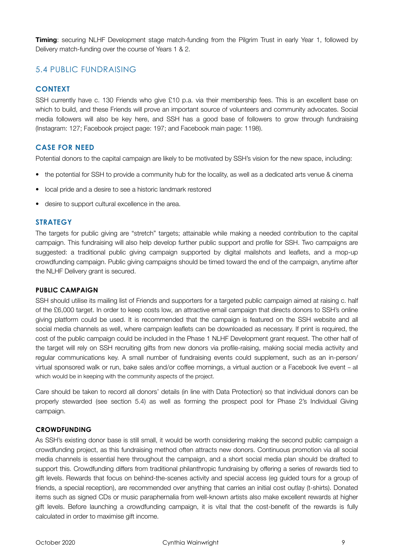**Timing**: securing NLHF Development stage match-funding from the Pilgrim Trust in early Year 1, followed by Delivery match-funding over the course of Years 1 & 2.

### <span id="page-9-0"></span>5.4 PUBLIC FUNDRAISING

#### **CONTEXT**

SSH currently have c. 130 Friends who give £10 p.a. via their membership fees. This is an excellent base on which to build, and these Friends will prove an important source of volunteers and community advocates. Social media followers will also be key here, and SSH has a good base of followers to grow through fundraising (Instagram: 127; Facebook project page: 197; and Facebook main page: 1198).

### **CASE FOR NEED**

Potential donors to the capital campaign are likely to be motivated by SSH's vision for the new space, including:

- the potential for SSH to provide a community hub for the locality, as well as a dedicated arts venue & cinema
- local pride and a desire to see a historic landmark restored
- desire to support cultural excellence in the area.

#### **STRATEGY**

The targets for public giving are "stretch" targets; attainable while making a needed contribution to the capital campaign. This fundraising will also help develop further public support and profile for SSH. Two campaigns are suggested: a traditional public giving campaign supported by digital mailshots and leaflets, and a mop-up crowdfunding campaign. Public giving campaigns should be timed toward the end of the campaign, anytime after the NLHF Delivery grant is secured.

#### **PUBLIC CAMPAIGN**

SSH should utilise its mailing list of Friends and supporters for a targeted public campaign aimed at raising c. half of the £6,000 target. In order to keep costs low, an attractive email campaign that directs donors to SSH's online giving platform could be used. It is recommended that the campaign is featured on the SSH website and all social media channels as well, where campaign leaflets can be downloaded as necessary. If print is required, the cost of the public campaign could be included in the Phase 1 NLHF Development grant request. The other half of the target will rely on SSH recruiting gifts from new donors via profile-raising, making social media activity and regular communications key. A small number of fundraising events could supplement, such as an in-person/ virtual sponsored walk or run, bake sales and/or coffee mornings, a virtual auction or a Facebook live event – all which would be in keeping with the community aspects of the project.

Care should be taken to record all donors' details (in line with Data Protection) so that individual donors can be properly stewarded (see section 5.4) as well as forming the prospect pool for Phase 2's Individual Giving campaign.

#### **CROWDFUNDING**

As SSH's existing donor base is still small, it would be worth considering making the second public campaign a crowdfunding project, as this fundraising method often attracts new donors. Continuous promotion via all social media channels is essential here throughout the campaign, and a short social media plan should be drafted to support this. Crowdfunding differs from traditional philanthropic fundraising by offering a series of rewards tied to gift levels. Rewards that focus on behind-the-scenes activity and special access (eg guided tours for a group of friends, a special reception), are recommended over anything that carries an initial cost outlay (t-shirts). Donated items such as signed CDs or music paraphernalia from well-known artists also make excellent rewards at higher gift levels. Before launching a crowdfunding campaign, it is vital that the cost-benefit of the rewards is fully calculated in order to maximise gift income.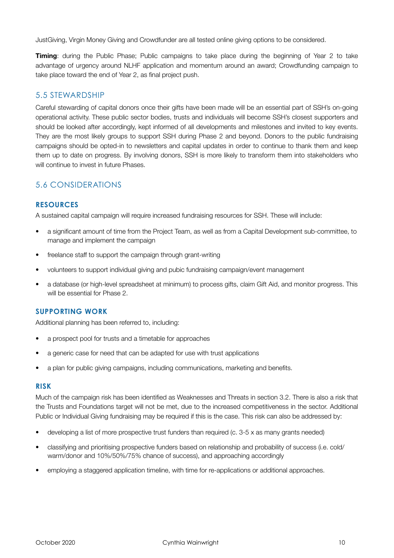JustGiving, Virgin Money Giving and Crowdfunder are all tested online giving options to be considered.

**Timing**: during the Public Phase; Public campaigns to take place during the beginning of Year 2 to take advantage of urgency around NLHF application and momentum around an award; Crowdfunding campaign to take place toward the end of Year 2, as final project push.

### <span id="page-10-0"></span>5.5 STEWARDSHIP

Careful stewarding of capital donors once their gifts have been made will be an essential part of SSH's on-going operational activity. These public sector bodies, trusts and individuals will become SSH's closest supporters and should be looked after accordingly, kept informed of all developments and milestones and invited to key events. They are the most likely groups to support SSH during Phase 2 and beyond. Donors to the public fundraising campaigns should be opted-in to newsletters and capital updates in order to continue to thank them and keep them up to date on progress. By involving donors, SSH is more likely to transform them into stakeholders who will continue to invest in future Phases.

# <span id="page-10-1"></span>5.6 CONSIDERATIONS

#### **RESOURCES**

A sustained capital campaign will require increased fundraising resources for SSH. These will include:

- a significant amount of time from the Project Team, as well as from a Capital Development sub-committee, to manage and implement the campaign
- freelance staff to support the campaign through grant-writing
- volunteers to support individual giving and pubic fundraising campaign/event management
- a database (or high-level spreadsheet at minimum) to process gifts, claim Gift Aid, and monitor progress. This will be essential for Phase 2.

#### **SUPPORTING WORK**

Additional planning has been referred to, including:

- a prospect pool for trusts and a timetable for approaches
- a generic case for need that can be adapted for use with trust applications
- a plan for public giving campaigns, including communications, marketing and benefits.

#### **RISK**

Much of the campaign risk has been identified as Weaknesses and Threats in section 3.2. There is also a risk that the Trusts and Foundations target will not be met, due to the increased competitiveness in the sector. Additional Public or Individual Giving fundraising may be required if this is the case. This risk can also be addressed by:

- developing a list of more prospective trust funders than required (c. 3-5 x as many grants needed)
- classifying and prioritising prospective funders based on relationship and probability of success (i.e. cold/ warm/donor and 10%/50%/75% chance of success), and approaching accordingly
- employing a staggered application timeline, with time for re-applications or additional approaches.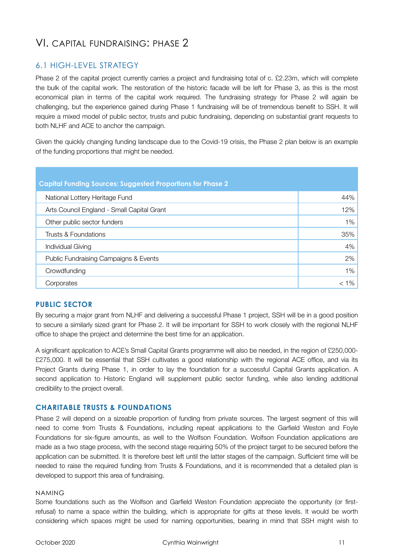# <span id="page-11-0"></span>VI. CAPITAL FUNDRAISING: PHASE 2

### <span id="page-11-1"></span>6.1 HIGH-LEVEL STRATEGY

Phase 2 of the capital project currently carries a project and fundraising total of c. £2.23m, which will complete the bulk of the capital work. The restoration of the historic facade will be left for Phase 3, as this is the most economical plan in terms of the capital work required. The fundraising strategy for Phase 2 will again be challenging, but the experience gained during Phase 1 fundraising will be of tremendous benefit to SSH. It will require a mixed model of public sector, trusts and pubic fundraising, depending on substantial grant requests to both NLHF and ACE to anchor the campaign.

Given the quickly changing funding landscape due to the Covid-19 crisis, the Phase 2 plan below is an example of the funding proportions that might be needed.

| <b>Capital Funding Sources: Suggested Proportions for Phase 2</b> |         |  |  |
|-------------------------------------------------------------------|---------|--|--|
| National Lottery Heritage Fund                                    | 44%     |  |  |
| Arts Council England - Small Capital Grant                        | 12%     |  |  |
| Other public sector funders                                       | 1%      |  |  |
| Trusts & Foundations                                              | 35%     |  |  |
| Individual Giving                                                 | 4%      |  |  |
| Public Fundraising Campaigns & Events                             | 2%      |  |  |
| Crowdfunding                                                      | 1%      |  |  |
| Corporates                                                        | $< 1\%$ |  |  |

#### **PUBLIC SECTOR**

By securing a major grant from NLHF and delivering a successful Phase 1 project, SSH will be in a good position to secure a similarly sized grant for Phase 2. It will be important for SSH to work closely with the regional NLHF office to shape the project and determine the best time for an application.

A significant application to ACE's Small Capital Grants programme will also be needed, in the region of £250,000- £275,000. It will be essential that SSH cultivates a good relationship with the regional ACE office, and via its Project Grants during Phase 1, in order to lay the foundation for a successful Capital Grants application. A second application to Historic England will supplement public sector funding, while also lending additional credibility to the project overall.

#### **CHARITABLE TRUSTS & FOUNDATIONS**

Phase 2 will depend on a sizeable proportion of funding from private sources. The largest segment of this will need to come from Trusts & Foundations, including repeat applications to the Garfield Weston and Foyle Foundations for six-figure amounts, as well to the Wolfson Foundation. Wolfson Foundation applications are made as a two stage process, with the second stage requiring 50% of the project target to be secured before the application can be submitted. It is therefore best left until the latter stages of the campaign. Sufficient time will be needed to raise the required funding from Trusts & Foundations, and it is recommended that a detailed plan is developed to support this area of fundraising.

#### NAMING

Some foundations such as the Wolfson and Garfield Weston Foundation appreciate the opportunity (or firstrefusal) to name a space within the building, which is appropriate for gifts at these levels. It would be worth considering which spaces might be used for naming opportunities, bearing in mind that SSH might wish to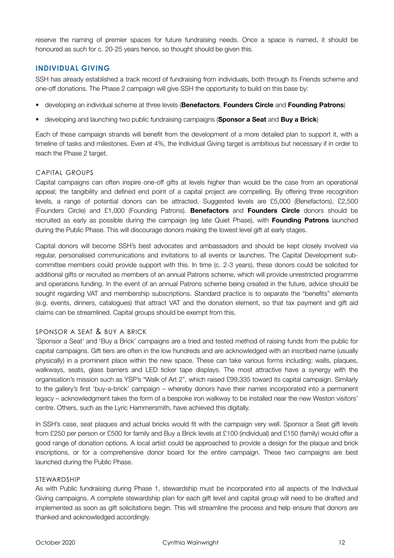reserve the naming of premier spaces for future fundraising needs. Once a space is named, it should be honoured as such for c. 20-25 years hence, so thought should be given this.

#### **INDIVIDUAL GIVING**

SSH has already established a track record of fundraising from individuals, both through its Friends scheme and one-off donations. The Phase 2 campaign will give SSH the opportunity to build on this base by:

- developing an individual scheme at three levels (**Benefactors**, **Founders Circle** and **Founding Patrons**)
- developing and launching two public fundraising campaigns (**Sponsor a Seat** and **Buy a Brick**)

Each of these campaign strands will benefit from the development of a more detailed plan to support it, with a timeline of tasks and milestones. Even at 4%, the Individual Giving target is ambitious but necessary if in order to reach the Phase 2 target.

#### CAPITAL GROUPS

Capital campaigns can often inspire one-off gifts at levels higher than would be the case from an operational appeal; the tangibility and defined end point of a capital project are compelling. By offering three recognition levels, a range of potential donors can be attracted. Suggested levels are £5,000 (Benefactors), £2,500 (Founders Circle) and £1,000 (Founding Patrons). **Benefactors** and **Founders Circle** donors should be recruited as early as possible during the campaign (eg late Quiet Phase), with **Founding Patrons** launched during the Public Phase. This will discourage donors making the lowest level gift at early stages.

Capital donors will become SSH's best advocates and ambassadors and should be kept closely involved via regular, personalised communications and invitations to all events or launches. The Capital Development subcommittee members could provide support with this. In time (c. 2-3 years), these donors could be solicited for additional gifts or recruited as members of an annual Patrons scheme, which will provide unrestricted programme and operations funding. In the event of an annual Patrons scheme being created in the future, advice should be sought regarding VAT and membership subscriptions. Standard practice is to separate the "benefits" elements (e.g. events, dinners, catalogues) that attract VAT and the donation element, so that tax payment and gift aid claims can be streamlined. Capital groups should be exempt from this.

#### SPONSOR A SEAT & BUY A BRICK

'Sponsor a Seat' and 'Buy a Brick' campaigns are a tried and tested method of raising funds from the public for capital campaigns. Gift tiers are often in the low hundreds and are acknowledged with an inscribed name (usually physically) in a prominent place within the new space. These can take various forms including: walls, plaques, walkways, seats, glass barriers and LED ticker tape displays. The most attractive have a synergy with the organisation's mission such as YSP's "Walk of Art 2", which raised £99,335 toward its capital campaign. Similarly to the gallery's first 'buy-a-brick' campaign – whereby donors have their names incorporated into a permanent legacy – acknowledgment takes the form of a bespoke iron walkway to be installed near the new Weston visitors' centre. Others, such as the Lyric Hammersmith, have achieved this digitally.

In SSH's case, seat plaques and actual bricks would fit with the campaign very well. Sponsor a Seat gift levels from £250 per person or £500 for family and Buy a Brick levels at £100 (individual) and £150 (family) would offer a good range of donation options. A local artist could be approached to provide a design for the plaque and brick inscriptions, or for a comprehensive donor board for the entire campaign. These two campaigns are best launched during the Public Phase.

#### STEWARDSHIP

As with Public fundraising during Phase 1, stewardship must be incorporated into all aspects of the Individual Giving campaigns. A complete stewardship plan for each gift level and capital group will need to be drafted and implemented as soon as gift solicitations begin. This will streamline the process and help ensure that donors are thanked and acknowledged accordingly.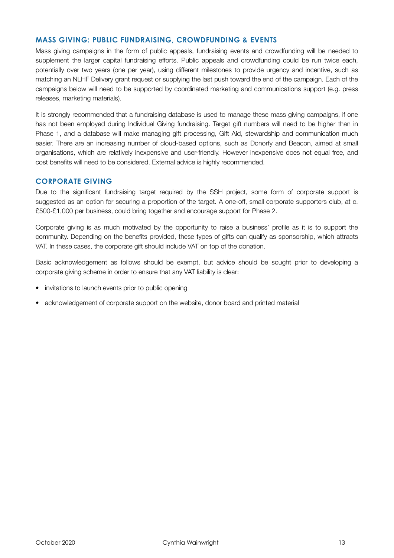#### **MASS GIVING: PUBLIC FUNDRAISING, CROWDFUNDING & EVENTS**

Mass giving campaigns in the form of public appeals, fundraising events and crowdfunding will be needed to supplement the larger capital fundraising efforts. Public appeals and crowdfunding could be run twice each, potentially over two years (one per year), using different milestones to provide urgency and incentive, such as matching an NLHF Delivery grant request or supplying the last push toward the end of the campaign. Each of the campaigns below will need to be supported by coordinated marketing and communications support (e.g. press releases, marketing materials).

It is strongly recommended that a fundraising database is used to manage these mass giving campaigns, if one has not been employed during Individual Giving fundraising. Target gift numbers will need to be higher than in Phase 1, and a database will make managing gift processing, Gift Aid, stewardship and communication much easier. There are an increasing number of cloud-based options, such as Donorfy and Beacon, aimed at small organisations, which are relatively inexpensive and user-friendly. However inexpensive does not equal free, and cost benefits will need to be considered. External advice is highly recommended.

#### **CORPORATE GIVING**

Due to the significant fundraising target required by the SSH project, some form of corporate support is suggested as an option for securing a proportion of the target. A one-off, small corporate supporters club, at c. £500-£1,000 per business, could bring together and encourage support for Phase 2.

Corporate giving is as much motivated by the opportunity to raise a business' profile as it is to support the community. Depending on the benefits provided, these types of gifts can qualify as sponsorship, which attracts VAT. In these cases, the corporate gift should include VAT on top of the donation.

Basic acknowledgement as follows should be exempt, but advice should be sought prior to developing a corporate giving scheme in order to ensure that any VAT liability is clear:

- invitations to launch events prior to public opening
- acknowledgement of corporate support on the website, donor board and printed material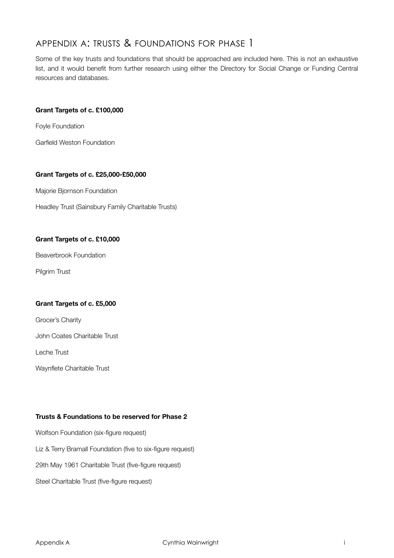# <span id="page-14-0"></span>APPENDIX A: TRUSTS & FOUNDATIONS FOR PHASE 1

Some of the key trusts and foundations that should be approached are included here. This is not an exhaustive list, and it would benefit from further research using either the Directory for Social Change or Funding Central resources and databases.

#### **Grant Targets of c. £100,000**

Foyle Foundation

Garfield Weston Foundation

#### **Grant Targets of c. £25,000-£50,000**

Majorie Bjornson Foundation

Headley Trust (Sainsbury Family Charitable Trusts)

#### **Grant Targets of c. £10,000**

Beaverbrook Foundation

Pilgrim Trust

#### **Grant Targets of c. £5,000**

Grocer's Charity

John Coates Charitable Trust

Leche Trust

Waynflete Charitable Trust

#### **Trusts & Foundations to be reserved for Phase 2**

Wolfson Foundation (six-figure request) Liz & Terry Bramall Foundation (five to six-figure request) 29th May 1961 Charitable Trust (five-figure request) Steel Charitable Trust (five-figure request)